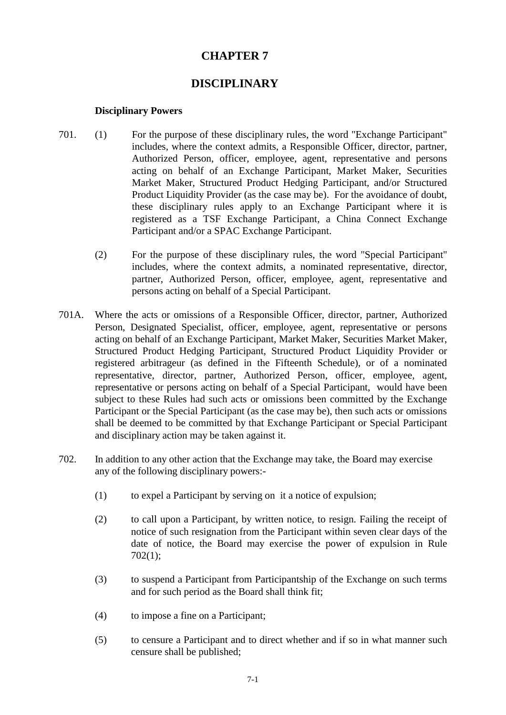# **CHAPTER 7**

## **DISCIPLINARY**

### **Disciplinary Powers**

- 701. (1) For the purpose of these disciplinary rules, the word "Exchange Participant" includes, where the context admits, a Responsible Officer, director, partner, Authorized Person, officer, employee, agent, representative and persons acting on behalf of an Exchange Participant, Market Maker, Securities Market Maker, Structured Product Hedging Participant, and/or Structured Product Liquidity Provider (as the case may be). For the avoidance of doubt, these disciplinary rules apply to an Exchange Participant where it is registered as a TSF Exchange Participant, a China Connect Exchange Participant and/or a SPAC Exchange Participant.
	- (2) For the purpose of these disciplinary rules, the word "Special Participant" includes, where the context admits, a nominated representative, director, partner, Authorized Person, officer, employee, agent, representative and persons acting on behalf of a Special Participant.
- 701A. Where the acts or omissions of a Responsible Officer, director, partner, Authorized Person, Designated Specialist, officer, employee, agent, representative or persons acting on behalf of an Exchange Participant, Market Maker, Securities Market Maker, Structured Product Hedging Participant, Structured Product Liquidity Provider or registered arbitrageur (as defined in the Fifteenth Schedule), or of a nominated representative, director, partner, Authorized Person, officer, employee, agent, representative or persons acting on behalf of a Special Participant, would have been subject to these Rules had such acts or omissions been committed by the Exchange Participant or the Special Participant (as the case may be), then such acts or omissions shall be deemed to be committed by that Exchange Participant or Special Participant and disciplinary action may be taken against it.
- 702. In addition to any other action that the Exchange may take, the Board may exercise any of the following disciplinary powers:-
	- (1) to expel a Participant by serving on it a notice of expulsion;
	- (2) to call upon a Participant, by written notice, to resign. Failing the receipt of notice of such resignation from the Participant within seven clear days of the date of notice, the Board may exercise the power of expulsion in Rule 702(1);
	- (3) to suspend a Participant from Participantship of the Exchange on such terms and for such period as the Board shall think fit;
	- (4) to impose a fine on a Participant;
	- (5) to censure a Participant and to direct whether and if so in what manner such censure shall be published;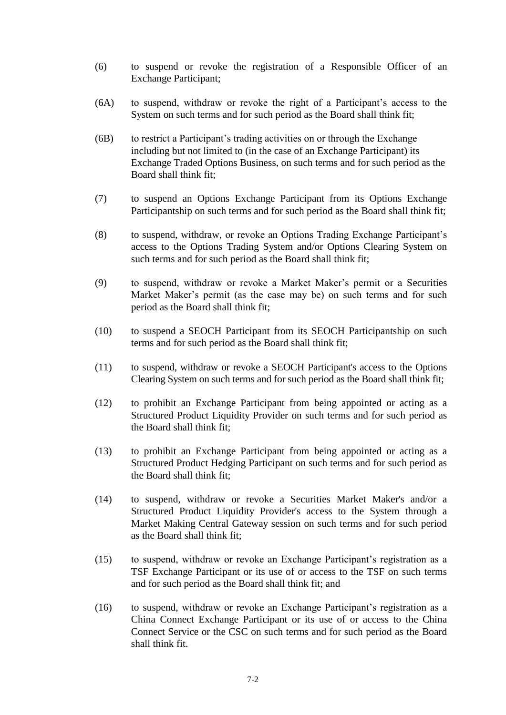- (6) to suspend or revoke the registration of a Responsible Officer of an Exchange Participant;
- (6A) to suspend, withdraw or revoke the right of a Participant's access to the System on such terms and for such period as the Board shall think fit;
- (6B) to restrict a Participant's trading activities on or through the Exchange including but not limited to (in the case of an Exchange Participant) its Exchange Traded Options Business, on such terms and for such period as the Board shall think fit;
- (7) to suspend an Options Exchange Participant from its Options Exchange Participantship on such terms and for such period as the Board shall think fit;
- (8) to suspend, withdraw, or revoke an Options Trading Exchange Participant's access to the Options Trading System and/or Options Clearing System on such terms and for such period as the Board shall think fit;
- (9) to suspend, withdraw or revoke a Market Maker's permit or a Securities Market Maker's permit (as the case may be) on such terms and for such period as the Board shall think fit;
- (10) to suspend a SEOCH Participant from its SEOCH Participantship on such terms and for such period as the Board shall think fit;
- (11) to suspend, withdraw or revoke a SEOCH Participant's access to the Options Clearing System on such terms and for such period as the Board shall think fit;
- (12) to prohibit an Exchange Participant from being appointed or acting as a Structured Product Liquidity Provider on such terms and for such period as the Board shall think fit;
- (13) to prohibit an Exchange Participant from being appointed or acting as a Structured Product Hedging Participant on such terms and for such period as the Board shall think fit;
- (14) to suspend, withdraw or revoke a Securities Market Maker's and/or a Structured Product Liquidity Provider's access to the System through a Market Making Central Gateway session on such terms and for such period as the Board shall think fit;
- (15) to suspend, withdraw or revoke an Exchange Participant's registration as a TSF Exchange Participant or its use of or access to the TSF on such terms and for such period as the Board shall think fit; and
- (16) to suspend, withdraw or revoke an Exchange Participant's registration as a China Connect Exchange Participant or its use of or access to the China Connect Service or the CSC on such terms and for such period as the Board shall think fit.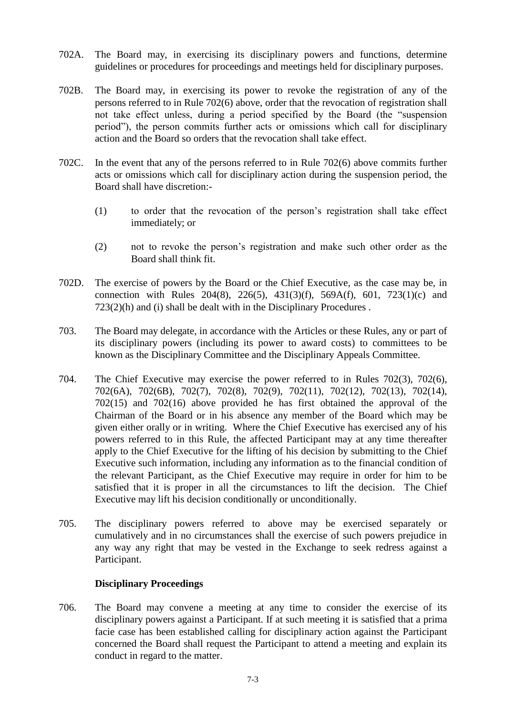- 702A. The Board may, in exercising its disciplinary powers and functions, determine guidelines or procedures for proceedings and meetings held for disciplinary purposes.
- 702B. The Board may, in exercising its power to revoke the registration of any of the persons referred to in Rule 702(6) above, order that the revocation of registration shall not take effect unless, during a period specified by the Board (the "suspension period"), the person commits further acts or omissions which call for disciplinary action and the Board so orders that the revocation shall take effect.
- 702C. In the event that any of the persons referred to in Rule 702(6) above commits further acts or omissions which call for disciplinary action during the suspension period, the Board shall have discretion:-
	- (1) to order that the revocation of the person's registration shall take effect immediately; or
	- (2) not to revoke the person's registration and make such other order as the Board shall think fit.
- 702D. The exercise of powers by the Board or the Chief Executive, as the case may be, in connection with Rules 204(8), 226(5), 431(3)(f), 569A(f), 601, 723(1)(c) and 723(2)(h) and (i) shall be dealt with in the Disciplinary Procedures .
- 703. The Board may delegate, in accordance with the Articles or these Rules, any or part of its disciplinary powers (including its power to award costs) to committees to be known as the Disciplinary Committee and the Disciplinary Appeals Committee.
- 704. The Chief Executive may exercise the power referred to in Rules 702(3), 702(6), 702(6A), 702(6B), 702(7), 702(8), 702(9), 702(11), 702(12), 702(13), 702(14), 702(15) and 702(16) above provided he has first obtained the approval of the Chairman of the Board or in his absence any member of the Board which may be given either orally or in writing. Where the Chief Executive has exercised any of his powers referred to in this Rule, the affected Participant may at any time thereafter apply to the Chief Executive for the lifting of his decision by submitting to the Chief Executive such information, including any information as to the financial condition of the relevant Participant, as the Chief Executive may require in order for him to be satisfied that it is proper in all the circumstances to lift the decision. The Chief Executive may lift his decision conditionally or unconditionally.
- 705. The disciplinary powers referred to above may be exercised separately or cumulatively and in no circumstances shall the exercise of such powers prejudice in any way any right that may be vested in the Exchange to seek redress against a Participant.

### **Disciplinary Proceedings**

706. The Board may convene a meeting at any time to consider the exercise of its disciplinary powers against a Participant. If at such meeting it is satisfied that a prima facie case has been established calling for disciplinary action against the Participant concerned the Board shall request the Participant to attend a meeting and explain its conduct in regard to the matter.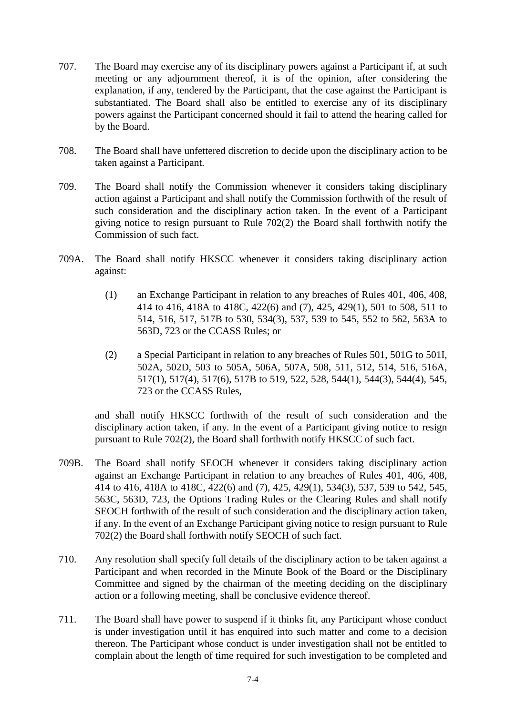- 707. The Board may exercise any of its disciplinary powers against a Participant if, at such meeting or any adjournment thereof, it is of the opinion, after considering the explanation, if any, tendered by the Participant, that the case against the Participant is substantiated. The Board shall also be entitled to exercise any of its disciplinary powers against the Participant concerned should it fail to attend the hearing called for by the Board.
- 708. The Board shall have unfettered discretion to decide upon the disciplinary action to be taken against a Participant.
- 709. The Board shall notify the Commission whenever it considers taking disciplinary action against a Participant and shall notify the Commission forthwith of the result of such consideration and the disciplinary action taken. In the event of a Participant giving notice to resign pursuant to Rule 702(2) the Board shall forthwith notify the Commission of such fact.
- 709A. The Board shall notify HKSCC whenever it considers taking disciplinary action against:
	- (1) an Exchange Participant in relation to any breaches of Rules 401, 406, 408, 414 to 416, 418A to 418C, 422(6) and (7), 425, 429(1), 501 to 508, 511 to 514, 516, 517, 517B to 530, 534(3), 537, 539 to 545, 552 to 562, 563A to 563D, 723 or the CCASS Rules; or
	- (2) a Special Participant in relation to any breaches of Rules 501, 501G to 501I, 502A, 502D, 503 to 505A, 506A, 507A, 508, 511, 512, 514, 516, 516A, 517(1), 517(4), 517(6), 517B to 519, 522, 528, 544(1), 544(3), 544(4), 545, 723 or the CCASS Rules,

and shall notify HKSCC forthwith of the result of such consideration and the disciplinary action taken, if any. In the event of a Participant giving notice to resign pursuant to Rule 702(2), the Board shall forthwith notify HKSCC of such fact.

- 709B. The Board shall notify SEOCH whenever it considers taking disciplinary action against an Exchange Participant in relation to any breaches of Rules 401, 406, 408, 414 to 416, 418A to 418C, 422(6) and (7), 425, 429(1), 534(3), 537, 539 to 542, 545, 563C, 563D, 723, the Options Trading Rules or the Clearing Rules and shall notify SEOCH forthwith of the result of such consideration and the disciplinary action taken, if any. In the event of an Exchange Participant giving notice to resign pursuant to Rule 702(2) the Board shall forthwith notify SEOCH of such fact.
- 710. Any resolution shall specify full details of the disciplinary action to be taken against a Participant and when recorded in the Minute Book of the Board or the Disciplinary Committee and signed by the chairman of the meeting deciding on the disciplinary action or a following meeting, shall be conclusive evidence thereof.
- 711. The Board shall have power to suspend if it thinks fit, any Participant whose conduct is under investigation until it has enquired into such matter and come to a decision thereon. The Participant whose conduct is under investigation shall not be entitled to complain about the length of time required for such investigation to be completed and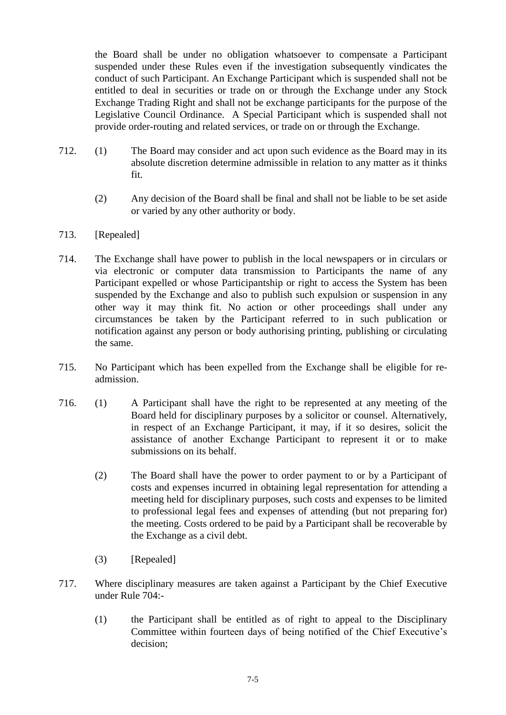the Board shall be under no obligation whatsoever to compensate a Participant suspended under these Rules even if the investigation subsequently vindicates the conduct of such Participant. An Exchange Participant which is suspended shall not be entitled to deal in securities or trade on or through the Exchange under any Stock Exchange Trading Right and shall not be exchange participants for the purpose of the Legislative Council Ordinance. A Special Participant which is suspended shall not provide order-routing and related services, or trade on or through the Exchange.

- 712. (1) The Board may consider and act upon such evidence as the Board may in its absolute discretion determine admissible in relation to any matter as it thinks fit.
	- (2) Any decision of the Board shall be final and shall not be liable to be set aside or varied by any other authority or body.
- 713. [Repealed]
- 714. The Exchange shall have power to publish in the local newspapers or in circulars or via electronic or computer data transmission to Participants the name of any Participant expelled or whose Participantship or right to access the System has been suspended by the Exchange and also to publish such expulsion or suspension in any other way it may think fit. No action or other proceedings shall under any circumstances be taken by the Participant referred to in such publication or notification against any person or body authorising printing, publishing or circulating the same.
- 715. No Participant which has been expelled from the Exchange shall be eligible for readmission.
- 716. (1) A Participant shall have the right to be represented at any meeting of the Board held for disciplinary purposes by a solicitor or counsel. Alternatively, in respect of an Exchange Participant, it may, if it so desires, solicit the assistance of another Exchange Participant to represent it or to make submissions on its behalf.
	- (2) The Board shall have the power to order payment to or by a Participant of costs and expenses incurred in obtaining legal representation for attending a meeting held for disciplinary purposes, such costs and expenses to be limited to professional legal fees and expenses of attending (but not preparing for) the meeting. Costs ordered to be paid by a Participant shall be recoverable by the Exchange as a civil debt.
	- (3) [Repealed]
- 717. Where disciplinary measures are taken against a Participant by the Chief Executive under Rule 704:-
	- (1) the Participant shall be entitled as of right to appeal to the Disciplinary Committee within fourteen days of being notified of the Chief Executive's decision;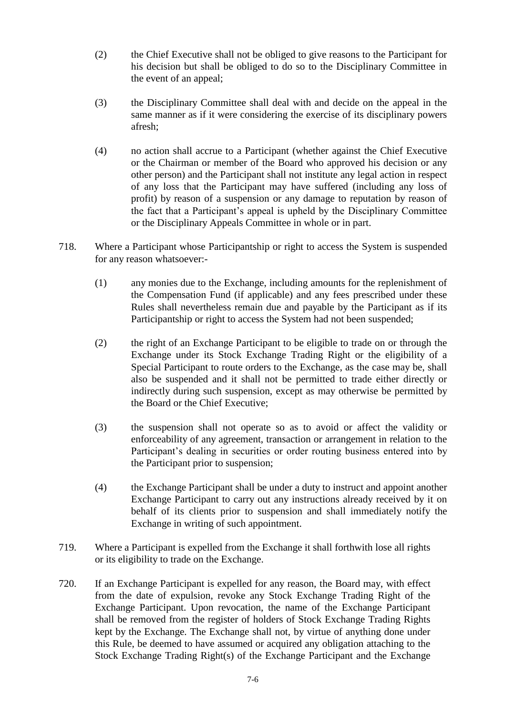- (2) the Chief Executive shall not be obliged to give reasons to the Participant for his decision but shall be obliged to do so to the Disciplinary Committee in the event of an appeal;
- (3) the Disciplinary Committee shall deal with and decide on the appeal in the same manner as if it were considering the exercise of its disciplinary powers afresh;
- (4) no action shall accrue to a Participant (whether against the Chief Executive or the Chairman or member of the Board who approved his decision or any other person) and the Participant shall not institute any legal action in respect of any loss that the Participant may have suffered (including any loss of profit) by reason of a suspension or any damage to reputation by reason of the fact that a Participant's appeal is upheld by the Disciplinary Committee or the Disciplinary Appeals Committee in whole or in part.
- 718. Where a Participant whose Participantship or right to access the System is suspended for any reason whatsoever:-
	- (1) any monies due to the Exchange, including amounts for the replenishment of the Compensation Fund (if applicable) and any fees prescribed under these Rules shall nevertheless remain due and payable by the Participant as if its Participantship or right to access the System had not been suspended;
	- (2) the right of an Exchange Participant to be eligible to trade on or through the Exchange under its Stock Exchange Trading Right or the eligibility of a Special Participant to route orders to the Exchange, as the case may be, shall also be suspended and it shall not be permitted to trade either directly or indirectly during such suspension, except as may otherwise be permitted by the Board or the Chief Executive;
	- (3) the suspension shall not operate so as to avoid or affect the validity or enforceability of any agreement, transaction or arrangement in relation to the Participant's dealing in securities or order routing business entered into by the Participant prior to suspension;
	- (4) the Exchange Participant shall be under a duty to instruct and appoint another Exchange Participant to carry out any instructions already received by it on behalf of its clients prior to suspension and shall immediately notify the Exchange in writing of such appointment.
- 719. Where a Participant is expelled from the Exchange it shall forthwith lose all rights or its eligibility to trade on the Exchange.
- 720. If an Exchange Participant is expelled for any reason, the Board may, with effect from the date of expulsion, revoke any Stock Exchange Trading Right of the Exchange Participant. Upon revocation, the name of the Exchange Participant shall be removed from the register of holders of Stock Exchange Trading Rights kept by the Exchange. The Exchange shall not, by virtue of anything done under this Rule, be deemed to have assumed or acquired any obligation attaching to the Stock Exchange Trading Right(s) of the Exchange Participant and the Exchange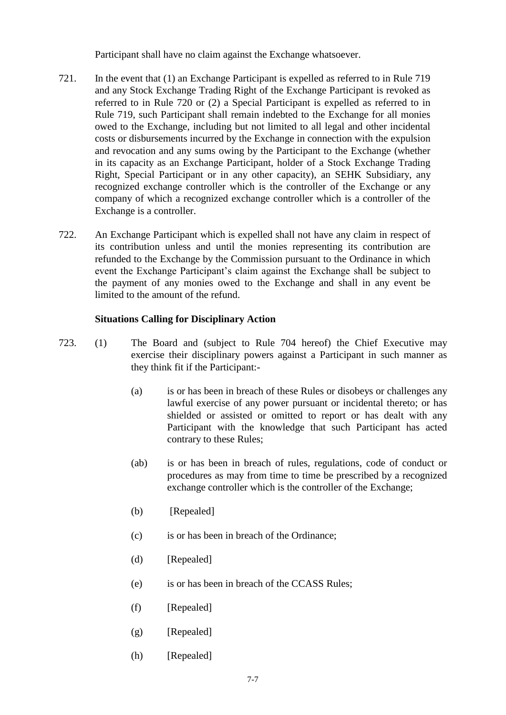Participant shall have no claim against the Exchange whatsoever.

- 721. In the event that (1) an Exchange Participant is expelled as referred to in Rule 719 and any Stock Exchange Trading Right of the Exchange Participant is revoked as referred to in Rule 720 or (2) a Special Participant is expelled as referred to in Rule 719, such Participant shall remain indebted to the Exchange for all monies owed to the Exchange, including but not limited to all legal and other incidental costs or disbursements incurred by the Exchange in connection with the expulsion and revocation and any sums owing by the Participant to the Exchange (whether in its capacity as an Exchange Participant, holder of a Stock Exchange Trading Right, Special Participant or in any other capacity), an SEHK Subsidiary, any recognized exchange controller which is the controller of the Exchange or any company of which a recognized exchange controller which is a controller of the Exchange is a controller.
- 722. An Exchange Participant which is expelled shall not have any claim in respect of its contribution unless and until the monies representing its contribution are refunded to the Exchange by the Commission pursuant to the Ordinance in which event the Exchange Participant's claim against the Exchange shall be subject to the payment of any monies owed to the Exchange and shall in any event be limited to the amount of the refund.

#### **Situations Calling for Disciplinary Action**

- 723. (1) The Board and (subject to Rule 704 hereof) the Chief Executive may exercise their disciplinary powers against a Participant in such manner as they think fit if the Participant:-
	- (a) is or has been in breach of these Rules or disobeys or challenges any lawful exercise of any power pursuant or incidental thereto; or has shielded or assisted or omitted to report or has dealt with any Participant with the knowledge that such Participant has acted contrary to these Rules;
	- (ab) is or has been in breach of rules, regulations, code of conduct or procedures as may from time to time be prescribed by a recognized exchange controller which is the controller of the Exchange;
	- (b) [Repealed]
	- (c) is or has been in breach of the Ordinance;
	- (d) [Repealed]
	- (e) is or has been in breach of the CCASS Rules;
	- (f) [Repealed]
	- $(g)$  [Repealed]
	- (h) [Repealed]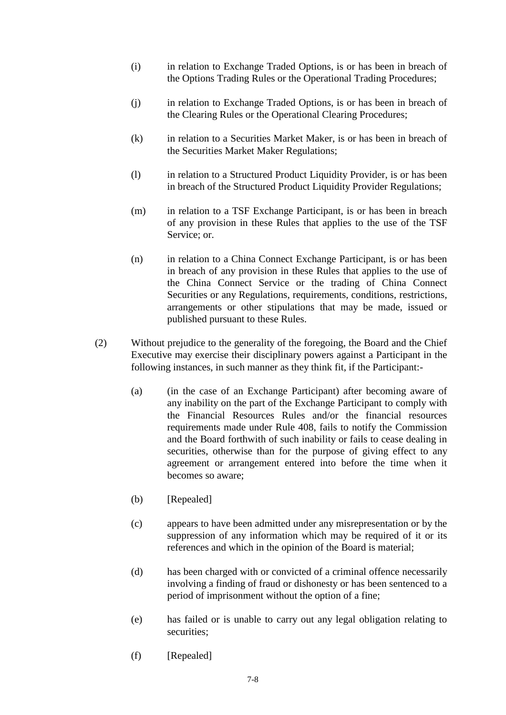- (i) in relation to Exchange Traded Options, is or has been in breach of the Options Trading Rules or the Operational Trading Procedures;
- (j) in relation to Exchange Traded Options, is or has been in breach of the Clearing Rules or the Operational Clearing Procedures;
- (k) in relation to a Securities Market Maker, is or has been in breach of the Securities Market Maker Regulations;
- (l) in relation to a Structured Product Liquidity Provider, is or has been in breach of the Structured Product Liquidity Provider Regulations;
- (m) in relation to a TSF Exchange Participant, is or has been in breach of any provision in these Rules that applies to the use of the TSF Service; or.
- (n) in relation to a China Connect Exchange Participant, is or has been in breach of any provision in these Rules that applies to the use of the China Connect Service or the trading of China Connect Securities or any Regulations, requirements, conditions, restrictions, arrangements or other stipulations that may be made, issued or published pursuant to these Rules.
- (2) Without prejudice to the generality of the foregoing, the Board and the Chief Executive may exercise their disciplinary powers against a Participant in the following instances, in such manner as they think fit, if the Participant:-
	- (a) (in the case of an Exchange Participant) after becoming aware of any inability on the part of the Exchange Participant to comply with the Financial Resources Rules and/or the financial resources requirements made under Rule 408, fails to notify the Commission and the Board forthwith of such inability or fails to cease dealing in securities, otherwise than for the purpose of giving effect to any agreement or arrangement entered into before the time when it becomes so aware;
	- (b) [Repealed]
	- (c) appears to have been admitted under any misrepresentation or by the suppression of any information which may be required of it or its references and which in the opinion of the Board is material;
	- (d) has been charged with or convicted of a criminal offence necessarily involving a finding of fraud or dishonesty or has been sentenced to a period of imprisonment without the option of a fine;
	- (e) has failed or is unable to carry out any legal obligation relating to securities;
	- (f) [Repealed]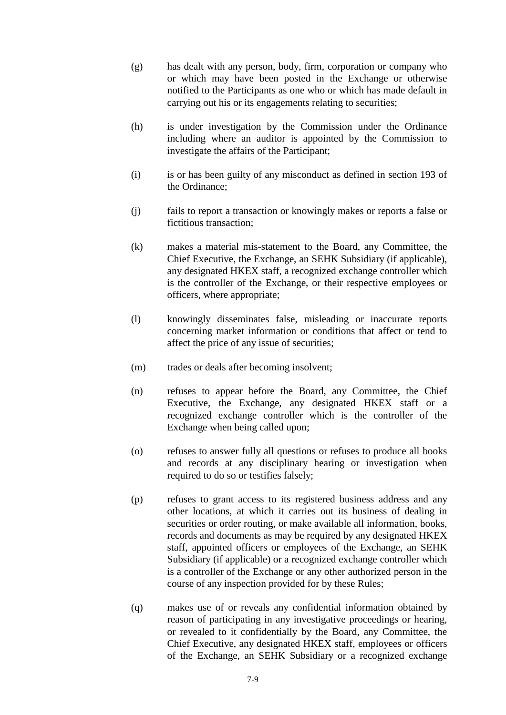- (g) has dealt with any person, body, firm, corporation or company who or which may have been posted in the Exchange or otherwise notified to the Participants as one who or which has made default in carrying out his or its engagements relating to securities;
- (h) is under investigation by the Commission under the Ordinance including where an auditor is appointed by the Commission to investigate the affairs of the Participant;
- (i) is or has been guilty of any misconduct as defined in section 193 of the Ordinance;
- (j) fails to report a transaction or knowingly makes or reports a false or fictitious transaction;
- (k) makes a material mis-statement to the Board, any Committee, the Chief Executive, the Exchange, an SEHK Subsidiary (if applicable), any designated HKEX staff, a recognized exchange controller which is the controller of the Exchange, or their respective employees or officers, where appropriate;
- (l) knowingly disseminates false, misleading or inaccurate reports concerning market information or conditions that affect or tend to affect the price of any issue of securities;
- (m) trades or deals after becoming insolvent;
- (n) refuses to appear before the Board, any Committee, the Chief Executive, the Exchange, any designated HKEX staff or a recognized exchange controller which is the controller of the Exchange when being called upon;
- (o) refuses to answer fully all questions or refuses to produce all books and records at any disciplinary hearing or investigation when required to do so or testifies falsely;
- (p) refuses to grant access to its registered business address and any other locations, at which it carries out its business of dealing in securities or order routing, or make available all information, books, records and documents as may be required by any designated HKEX staff, appointed officers or employees of the Exchange, an SEHK Subsidiary (if applicable) or a recognized exchange controller which is a controller of the Exchange or any other authorized person in the course of any inspection provided for by these Rules;
- (q) makes use of or reveals any confidential information obtained by reason of participating in any investigative proceedings or hearing, or revealed to it confidentially by the Board, any Committee, the Chief Executive, any designated HKEX staff, employees or officers of the Exchange, an SEHK Subsidiary or a recognized exchange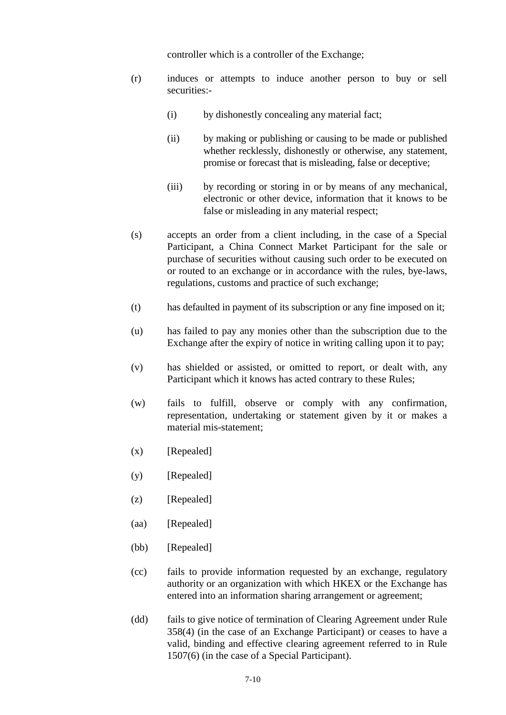controller which is a controller of the Exchange;

- (r) induces or attempts to induce another person to buy or sell securities:-
	- (i) by dishonestly concealing any material fact;
	- (ii) by making or publishing or causing to be made or published whether recklessly, dishonestly or otherwise, any statement, promise or forecast that is misleading, false or deceptive;
	- (iii) by recording or storing in or by means of any mechanical, electronic or other device, information that it knows to be false or misleading in any material respect;
- (s) accepts an order from a client including, in the case of a Special Participant, a China Connect Market Participant for the sale or purchase of securities without causing such order to be executed on or routed to an exchange or in accordance with the rules, bye-laws, regulations, customs and practice of such exchange;
- (t) has defaulted in payment of its subscription or any fine imposed on it;
- (u) has failed to pay any monies other than the subscription due to the Exchange after the expiry of notice in writing calling upon it to pay;
- (v) has shielded or assisted, or omitted to report, or dealt with, any Participant which it knows has acted contrary to these Rules;
- (w) fails to fulfill, observe or comply with any confirmation, representation, undertaking or statement given by it or makes a material mis-statement;
- $(x)$  [Repealed]
- (y) [Repealed]
- (z) [Repealed]
- (aa) [Repealed]
- (bb) [Repealed]
- (cc) fails to provide information requested by an exchange, regulatory authority or an organization with which HKEX or the Exchange has entered into an information sharing arrangement or agreement;
- (dd) fails to give notice of termination of Clearing Agreement under Rule 358(4) (in the case of an Exchange Participant) or ceases to have a valid, binding and effective clearing agreement referred to in Rule 1507(6) (in the case of a Special Participant).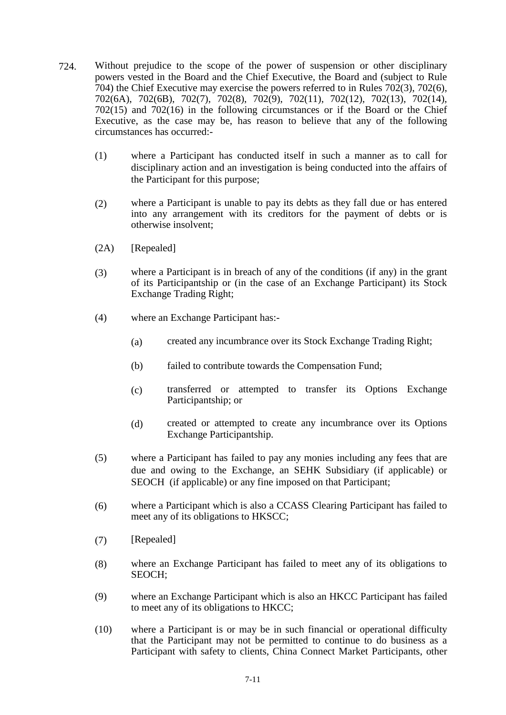- 724. Without prejudice to the scope of the power of suspension or other disciplinary powers vested in the Board and the Chief Executive, the Board and (subject to Rule 704) the Chief Executive may exercise the powers referred to in Rules 702(3), 702(6), 702(6A), 702(6B), 702(7), 702(8), 702(9), 702(11), 702(12), 702(13), 702(14), 702(15) and 702(16) in the following circumstances or if the Board or the Chief Executive, as the case may be, has reason to believe that any of the following circumstances has occurred:-
	- (1) where a Participant has conducted itself in such a manner as to call for disciplinary action and an investigation is being conducted into the affairs of the Participant for this purpose;
	- (2) where a Participant is unable to pay its debts as they fall due or has entered into any arrangement with its creditors for the payment of debts or is otherwise insolvent;
	- (2A) [Repealed]
	- (3) where a Participant is in breach of any of the conditions (if any) in the grant of its Participantship or (in the case of an Exchange Participant) its Stock Exchange Trading Right;
	- (4) where an Exchange Participant has:-
		- (a) created any incumbrance over its Stock Exchange Trading Right;
		- (b) failed to contribute towards the Compensation Fund;
		- (c) transferred or attempted to transfer its Options Exchange Participantship; or
		- (d) created or attempted to create any incumbrance over its Options Exchange Participantship.
	- (5) where a Participant has failed to pay any monies including any fees that are due and owing to the Exchange, an SEHK Subsidiary (if applicable) or SEOCH (if applicable) or any fine imposed on that Participant;
	- (6) where a Participant which is also a CCASS Clearing Participant has failed to meet any of its obligations to HKSCC;
	- (7) [Repealed]
	- (8) where an Exchange Participant has failed to meet any of its obligations to SEOCH;
	- (9) where an Exchange Participant which is also an HKCC Participant has failed to meet any of its obligations to HKCC;
	- (10) where a Participant is or may be in such financial or operational difficulty that the Participant may not be permitted to continue to do business as a Participant with safety to clients, China Connect Market Participants, other